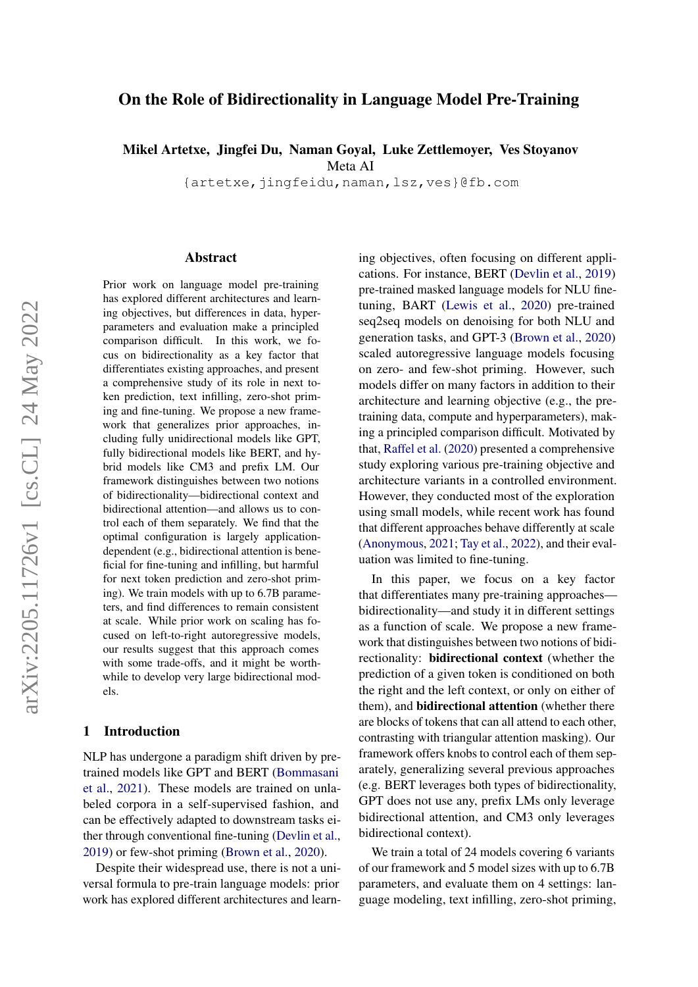# On the Role of Bidirectionality in Language Model Pre-Training

Mikel Artetxe, Jingfei Du, Naman Goyal, Luke Zettlemoyer, Ves Stoyanov

Meta AI

{artetxe,jingfeidu,naman,lsz,ves}@fb.com

#### Abstract

Prior work on language model pre-training has explored different architectures and learning objectives, but differences in data, hyperparameters and evaluation make a principled comparison difficult. In this work, we focus on bidirectionality as a key factor that differentiates existing approaches, and present a comprehensive study of its role in next token prediction, text infilling, zero-shot priming and fine-tuning. We propose a new framework that generalizes prior approaches, including fully unidirectional models like GPT, fully bidirectional models like BERT, and hybrid models like CM3 and prefix LM. Our framework distinguishes between two notions of bidirectionality—bidirectional context and bidirectional attention—and allows us to control each of them separately. We find that the optimal configuration is largely applicationdependent (e.g., bidirectional attention is beneficial for fine-tuning and infilling, but harmful for next token prediction and zero-shot priming). We train models with up to 6.7B parameters, and find differences to remain consistent at scale. While prior work on scaling has focused on left-to-right autoregressive models, our results suggest that this approach comes with some trade-offs, and it might be worthwhile to develop very large bidirectional models.

### 1 Introduction

NLP has undergone a paradigm shift driven by pretrained models like GPT and BERT [\(Bommasani](#page-8-0) [et al.,](#page-8-0) [2021\)](#page-8-0). These models are trained on unlabeled corpora in a self-supervised fashion, and can be effectively adapted to downstream tasks either through conventional fine-tuning [\(Devlin et al.,](#page-9-0) [2019\)](#page-9-0) or few-shot priming [\(Brown et al.,](#page-8-1) [2020\)](#page-8-1).

Despite their widespread use, there is not a universal formula to pre-train language models: prior work has explored different architectures and learning objectives, often focusing on different applications. For instance, BERT [\(Devlin et al.,](#page-9-0) [2019\)](#page-9-0) pre-trained masked language models for NLU finetuning, BART [\(Lewis et al.,](#page-9-1) [2020\)](#page-9-1) pre-trained seq2seq models on denoising for both NLU and generation tasks, and GPT-3 [\(Brown et al.,](#page-8-1) [2020\)](#page-8-1) scaled autoregressive language models focusing on zero- and few-shot priming. However, such models differ on many factors in addition to their architecture and learning objective (e.g., the pretraining data, compute and hyperparameters), making a principled comparison difficult. Motivated by that, [Raffel et al.](#page-10-0) [\(2020\)](#page-10-0) presented a comprehensive study exploring various pre-training objective and architecture variants in a controlled environment. However, they conducted most of the exploration using small models, while recent work has found that different approaches behave differently at scale [\(Anonymous,](#page-8-2) [2021;](#page-8-2) [Tay et al.,](#page-10-1) [2022\)](#page-10-1), and their evaluation was limited to fine-tuning.

In this paper, we focus on a key factor that differentiates many pre-training approaches bidirectionality—and study it in different settings as a function of scale. We propose a new framework that distinguishes between two notions of bidirectionality: bidirectional context (whether the prediction of a given token is conditioned on both the right and the left context, or only on either of them), and bidirectional attention (whether there are blocks of tokens that can all attend to each other, contrasting with triangular attention masking). Our framework offers knobs to control each of them separately, generalizing several previous approaches (e.g. BERT leverages both types of bidirectionality, GPT does not use any, prefix LMs only leverage bidirectional attention, and CM3 only leverages bidirectional context).

We train a total of 24 models covering 6 variants of our framework and 5 model sizes with up to 6.7B parameters, and evaluate them on 4 settings: language modeling, text infilling, zero-shot priming,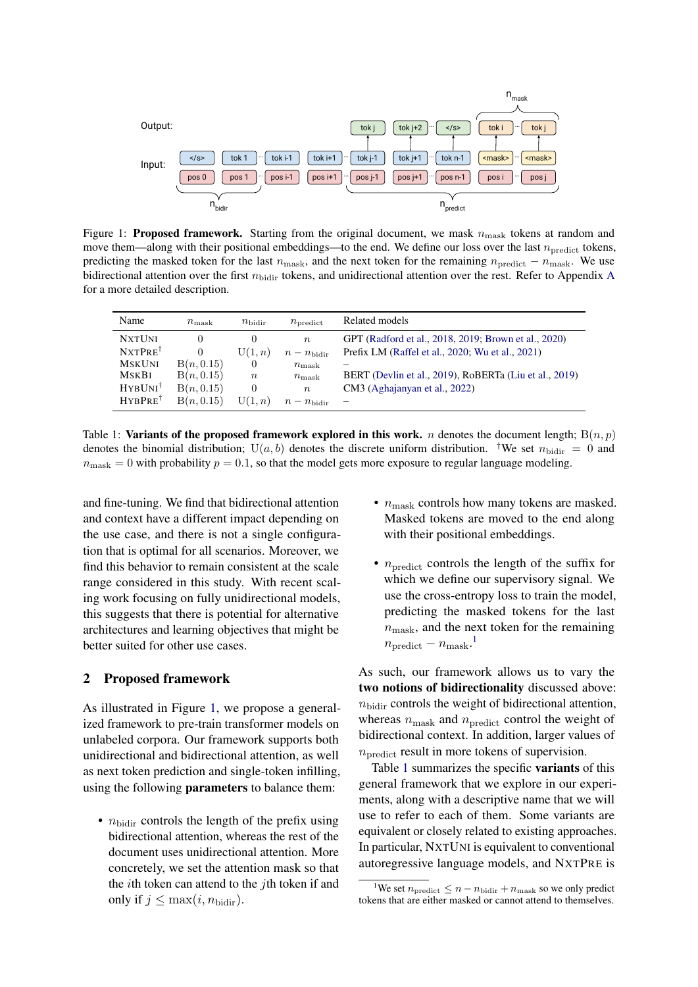<span id="page-1-0"></span>

Figure 1: Proposed framework. Starting from the original document, we mask  $n_{\text{mask}}$  tokens at random and move them—along with their positional embeddings—to the end. We define our loss over the last  $n_{predict}$  tokens, predicting the masked token for the last  $n_{\text{mask}}$ , and the next token for the remaining  $n_{\text{predict}} - n_{\text{mask}}$ . We use bidirectional attention over the first  $n_{\text{bidir}}$  tokens, and unidirectional attention over the rest. Refer to [A](#page-11-0)ppendix A for a more detailed description.

<span id="page-1-2"></span>

| Name                       | $n_{\rm mask}$ | $n_{\text{bidir}}$ | $n_{\text{predict}}$   | Related models                                         |
|----------------------------|----------------|--------------------|------------------------|--------------------------------------------------------|
| <b>NXTUNI</b>              |                | $\theta$           | $\boldsymbol{n}$       | GPT (Radford et al., 2018, 2019; Brown et al., 2020)   |
| NXTPRE <sup>†</sup>        |                | U(1, n)            | $n - n_{\text{bidir}}$ | Prefix LM (Raffel et al., 2020; Wu et al., 2021)       |
| <b>MSKUNI</b>              | B(n, 0.15)     | 0                  | $n_{\rm mask}$         |                                                        |
| <b>MSKBI</b>               | B(n, 0.15)     | $\boldsymbol{n}$   | $n_{\rm mask}$         | BERT (Devlin et al., 2019), RoBERTa (Liu et al., 2019) |
| $HYBUNI^{\dagger}$         | B(n, 0.15)     | 0                  | $\boldsymbol{n}$       | CM3 (Aghajanyan et al., 2022)                          |
| <b>HYBPRE</b> <sup>†</sup> | B(n, 0.15)     | U(1, n)            | $n - n_{\text{bidir}}$ |                                                        |

Table 1: Variants of the proposed framework explored in this work. *n* denotes the document length;  $B(n, p)$ denotes the binomial distribution;  $U(a, b)$  denotes the discrete uniform distribution. <sup>†</sup>We set  $n_{\text{bidir}} = 0$  and  $n_{\text{mask}} = 0$  with probability  $p = 0.1$ , so that the model gets more exposure to regular language modeling.

and fine-tuning. We find that bidirectional attention and context have a different impact depending on the use case, and there is not a single configuration that is optimal for all scenarios. Moreover, we find this behavior to remain consistent at the scale range considered in this study. With recent scaling work focusing on fully unidirectional models, this suggests that there is potential for alternative architectures and learning objectives that might be better suited for other use cases.

### <span id="page-1-3"></span>2 Proposed framework

As illustrated in Figure [1,](#page-1-0) we propose a generalized framework to pre-train transformer models on unlabeled corpora. Our framework supports both unidirectional and bidirectional attention, as well as next token prediction and single-token infilling, using the following parameters to balance them:

•  $n_{\text{bidir}}$  controls the length of the prefix using bidirectional attention, whereas the rest of the document uses unidirectional attention. More concretely, we set the attention mask so that the *i*th token can attend to the *j*th token if and only if  $j \leq \max(i, n_{\text{bidir}})$ .

- $n_{\text{mask}}$  controls how many tokens are masked. Masked tokens are moved to the end along with their positional embeddings.
- $n_{predict}$  controls the length of the suffix for which we define our supervisory signal. We use the cross-entropy loss to train the model, predicting the masked tokens for the last  $n<sub>mask</sub>$ , and the next token for the remaining  $n_{\text{predict}} - n_{\text{mask}}$ .<sup>[1](#page-1-1)</sup>

As such, our framework allows us to vary the two notions of bidirectionality discussed above:  $n_{\text{bidir}}$  controls the weight of bidirectional attention, whereas  $n_{\text{mask}}$  and  $n_{\text{predict}}$  control the weight of bidirectional context. In addition, larger values of  $n_{predict}$  result in more tokens of supervision.

Table [1](#page-1-2) summarizes the specific variants of this general framework that we explore in our experiments, along with a descriptive name that we will use to refer to each of them. Some variants are equivalent or closely related to existing approaches. In particular, NXTUNI is equivalent to conventional autoregressive language models, and NXTPRE is

<span id="page-1-1"></span><sup>&</sup>lt;sup>1</sup>We set  $n_{\text{predict}} \le n - n_{\text{bidir}} + n_{\text{mask}}$  so we only predict tokens that are either masked or cannot attend to themselves.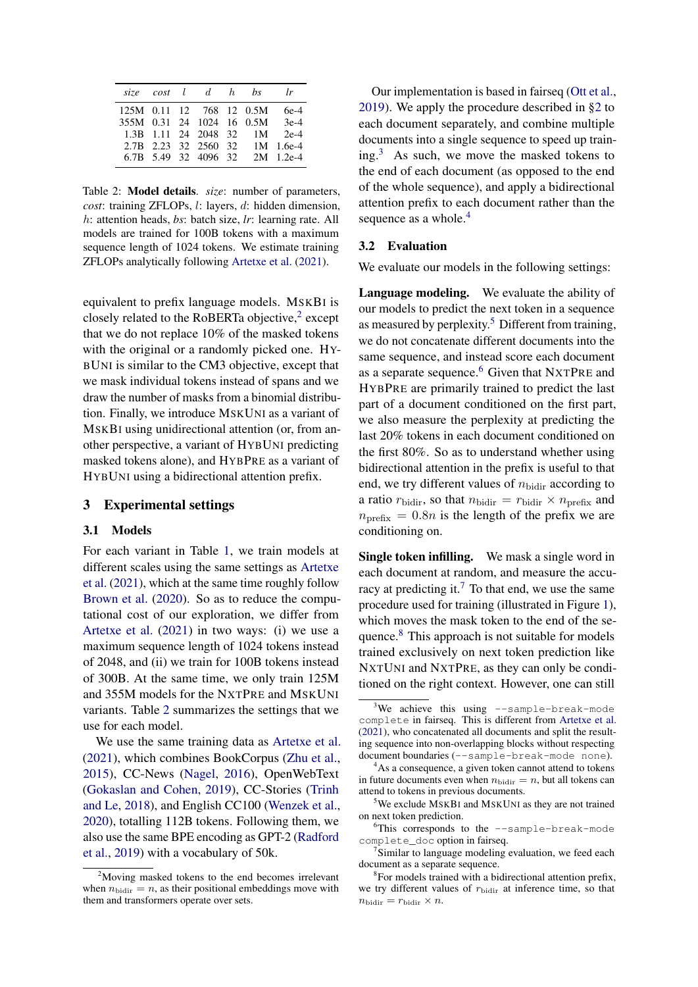<span id="page-2-1"></span>

|  | size cost l d h bs |                          | Ir                             |
|--|--------------------|--------------------------|--------------------------------|
|  |                    | 125M 0.11 12 768 12 0.5M | $6e-4$                         |
|  |                    |                          | 355M 0.31 24 1024 16 0.5M 3e-4 |
|  |                    |                          | 1.3B 1.11 24 2048 32 1M 2e-4   |
|  |                    |                          | 2.7B 2.23 32 2560 32 1M 1.6e-4 |
|  |                    |                          | 6.7B 5.49 32 4096 32 2M 1.2e-4 |

Table 2: Model details. *size*: number of parameters, *cost*: training ZFLOPs, l: layers, d: hidden dimension, h: attention heads, *bs*: batch size, *lr*: learning rate. All models are trained for 100B tokens with a maximum sequence length of 1024 tokens. We estimate training ZFLOPs analytically following [Artetxe et al.](#page-8-4) [\(2021\)](#page-8-4).

equivalent to prefix language models. MSKBI is closely related to the RoBERTa objective, $2$  except that we do not replace 10% of the masked tokens with the original or a randomly picked one. HY-BUNI is similar to the CM3 objective, except that we mask individual tokens instead of spans and we draw the number of masks from a binomial distribution. Finally, we introduce MSKUNI as a variant of MSKBI using unidirectional attention (or, from another perspective, a variant of HYBUNI predicting masked tokens alone), and HYBPRE as a variant of HYBUNI using a bidirectional attention prefix.

#### 3 Experimental settings

### 3.1 Models

For each variant in Table [1,](#page-1-2) we train models at different scales using the same settings as [Artetxe](#page-8-4) [et al.](#page-8-4) [\(2021\)](#page-8-4), which at the same time roughly follow [Brown et al.](#page-8-1) [\(2020\)](#page-8-1). So as to reduce the computational cost of our exploration, we differ from [Artetxe et al.](#page-8-4) [\(2021\)](#page-8-4) in two ways: (i) we use a maximum sequence length of 1024 tokens instead of 2048, and (ii) we train for 100B tokens instead of 300B. At the same time, we only train 125M and 355M models for the NXTPRE and MSKUNI variants. Table [2](#page-2-1) summarizes the settings that we use for each model.

We use the same training data as [Artetxe et al.](#page-8-4) [\(2021\)](#page-8-4), which combines BookCorpus [\(Zhu et al.,](#page-11-2) [2015\)](#page-11-2), CC-News [\(Nagel,](#page-9-3) [2016\)](#page-9-3), OpenWebText [\(Gokaslan and Cohen,](#page-9-4) [2019\)](#page-9-4), CC-Stories [\(Trinh](#page-10-4) [and Le,](#page-10-4) [2018\)](#page-10-4), and English CC100 [\(Wenzek et al.,](#page-10-5) [2020\)](#page-10-5), totalling 112B tokens. Following them, we also use the same BPE encoding as GPT-2 [\(Radford](#page-10-3) [et al.,](#page-10-3) [2019\)](#page-10-3) with a vocabulary of 50k.

Our implementation is based in fairseq [\(Ott et al.,](#page-9-5) [2019\)](#page-9-5). We apply the procedure described in [§2](#page-1-3) to each document separately, and combine multiple documents into a single sequence to speed up train-ing.<sup>[3](#page-2-2)</sup> As such, we move the masked tokens to the end of each document (as opposed to the end of the whole sequence), and apply a bidirectional attention prefix to each document rather than the sequence as a whole.<sup>[4](#page-2-3)</sup>

#### <span id="page-2-8"></span>3.2 Evaluation

We evaluate our models in the following settings:

Language modeling. We evaluate the ability of our models to predict the next token in a sequence as measured by perplexity.<sup>[5](#page-2-4)</sup> Different from training, we do not concatenate different documents into the same sequence, and instead score each document as a separate sequence.<sup>[6](#page-2-5)</sup> Given that NXTPRE and HYBPRE are primarily trained to predict the last part of a document conditioned on the first part, we also measure the perplexity at predicting the last 20% tokens in each document conditioned on the first 80%. So as to understand whether using bidirectional attention in the prefix is useful to that end, we try different values of  $n_{\text{bidir}}$  according to a ratio  $r_{\text{bidir}}$ , so that  $n_{\text{bidir}} = r_{\text{bidir}} \times n_{\text{prefix}}$  and  $n_{\text{prefix}} = 0.8n$  is the length of the prefix we are conditioning on.

Single token infilling. We mask a single word in each document at random, and measure the accu-racy at predicting it.<sup>[7](#page-2-6)</sup> To that end, we use the same procedure used for training (illustrated in Figure [1\)](#page-1-0), which moves the mask token to the end of the sequence.[8](#page-2-7) This approach is not suitable for models trained exclusively on next token prediction like NXTUNI and NXTPRE, as they can only be conditioned on the right context. However, one can still

<span id="page-2-0"></span> $2^2$ Moving masked tokens to the end becomes irrelevant when  $n_{\text{bidir}} = n$ , as their positional embeddings move with them and transformers operate over sets.

<span id="page-2-2"></span> $3$ We achieve this using  $--$ sample-break-mode complete in fairseq. This is different from [Artetxe et al.](#page-8-4) [\(2021\)](#page-8-4), who concatenated all documents and split the resulting sequence into non-overlapping blocks without respecting document boundaries (--sample-break-mode none).

<span id="page-2-3"></span><sup>&</sup>lt;sup>4</sup>As a consequence, a given token cannot attend to tokens in future documents even when  $n_{\text{bidir}} = n$ , but all tokens can attend to tokens in previous documents.

<span id="page-2-4"></span><sup>&</sup>lt;sup>5</sup>We exclude MSKBI and MSKUNI as they are not trained on next token prediction.

<span id="page-2-5"></span> $<sup>6</sup>$ This corresponds to the  $--sample-break-mode$ </sup> complete\_doc option in fairseq.

<span id="page-2-6"></span><sup>&</sup>lt;sup>7</sup>Similar to language modeling evaluation, we feed each document as a separate sequence.

<span id="page-2-7"></span><sup>8</sup> For models trained with a bidirectional attention prefix, we try different values of  $r_{\text{bidir}}$  at inference time, so that  $n_{\text{bidir}} = r_{\text{bidir}} \times n$ .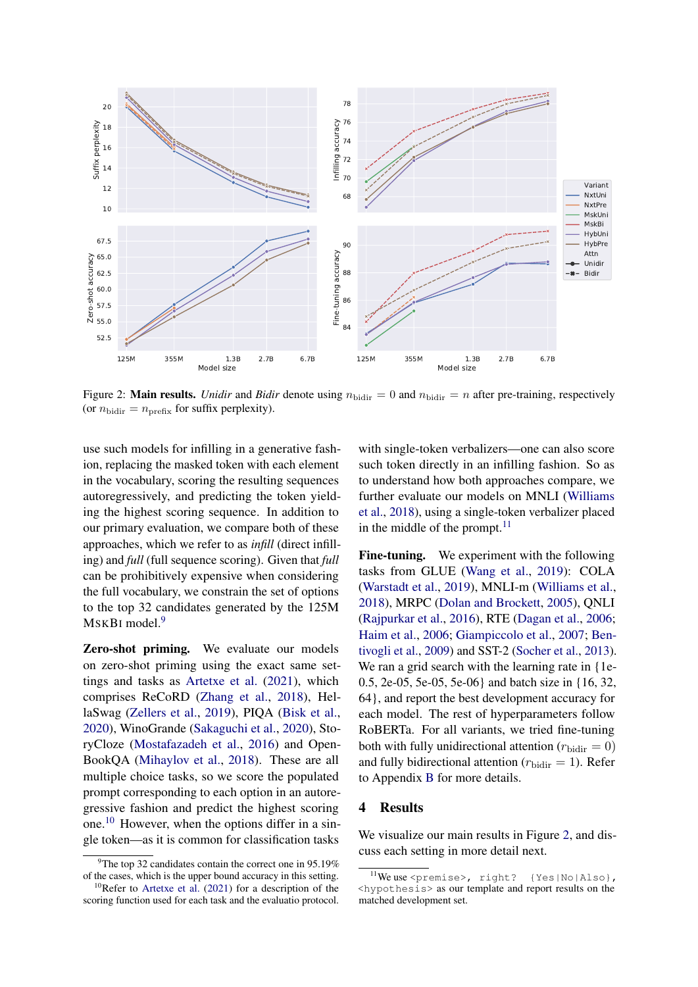<span id="page-3-3"></span>

Figure 2: **Main results.** *Unidir* and *Bidir* denote using  $n_{\text{bidir}} = 0$  and  $n_{\text{bidir}} = n$  after pre-training, respectively (or  $n_{\text{bidir}} = n_{\text{prefix}}$  for suffix perplexity).

use such models for infilling in a generative fashion, replacing the masked token with each element in the vocabulary, scoring the resulting sequences autoregressively, and predicting the token yielding the highest scoring sequence. In addition to our primary evaluation, we compare both of these approaches, which we refer to as *infill* (direct infilling) and *full* (full sequence scoring). Given that *full* can be prohibitively expensive when considering the full vocabulary, we constrain the set of options to the top 32 candidates generated by the 125M MSKBI model.<sup>[9](#page-3-0)</sup>

Zero-shot priming. We evaluate our models on zero-shot priming using the exact same settings and tasks as [Artetxe et al.](#page-8-4) [\(2021\)](#page-8-4), which comprises ReCoRD [\(Zhang et al.,](#page-11-3) [2018\)](#page-11-3), HellaSwag [\(Zellers et al.,](#page-11-4) [2019\)](#page-11-4), PIQA [\(Bisk et al.,](#page-8-5) [2020\)](#page-8-5), WinoGrande [\(Sakaguchi et al.,](#page-10-6) [2020\)](#page-10-6), StoryCloze [\(Mostafazadeh et al.,](#page-9-6) [2016\)](#page-9-6) and Open-BookQA [\(Mihaylov et al.,](#page-9-7) [2018\)](#page-9-7). These are all multiple choice tasks, so we score the populated prompt corresponding to each option in an autoregressive fashion and predict the highest scoring one.[10](#page-3-1) However, when the options differ in a single token—as it is common for classification tasks

<span id="page-3-1"></span>scoring function used for each task and the evaluatio protocol.

with single-token verbalizers—one can also score such token directly in an infilling fashion. So as to understand how both approaches compare, we further evaluate our models on MNLI [\(Williams](#page-11-5) [et al.,](#page-11-5) [2018\)](#page-11-5), using a single-token verbalizer placed in the middle of the prompt. $11$ 

Fine-tuning. We experiment with the following tasks from GLUE [\(Wang et al.,](#page-10-7) [2019\)](#page-10-7): COLA [\(Warstadt et al.,](#page-10-8) [2019\)](#page-10-8), MNLI-m [\(Williams et al.,](#page-11-5) [2018\)](#page-11-5), MRPC [\(Dolan and Brockett,](#page-9-8) [2005\)](#page-9-8), QNLI [\(Rajpurkar et al.,](#page-10-9) [2016\)](#page-10-9), RTE [\(Dagan et al.,](#page-9-9) [2006;](#page-9-9) [Haim et al.,](#page-9-10) [2006;](#page-9-10) [Giampiccolo et al.,](#page-9-11) [2007;](#page-9-11) [Ben](#page-8-6)[tivogli et al.,](#page-8-6) [2009\)](#page-8-6) and SST-2 [\(Socher et al.,](#page-10-10) [2013\)](#page-10-10). We ran a grid search with the learning rate in {1e-0.5, 2e-05, 5e-05, 5e-06} and batch size in {16, 32, 64}, and report the best development accuracy for each model. The rest of hyperparameters follow RoBERTa. For all variants, we tried fine-tuning both with fully unidirectional attention ( $r_{\text{bidir}} = 0$ ) and fully bidirectional attention ( $r_{\text{bidir}} = 1$ ). Refer to Appendix [B](#page-11-6) for more details.

## 4 Results

We visualize our main results in Figure [2,](#page-3-3) and discuss each setting in more detail next.

<span id="page-3-0"></span> $9$ The top 32 candidates contain the correct one in 95.19% of the cases, which is the upper bound accuracy in this setting. <sup>10</sup>Refer to [Artetxe et al.](#page-8-4) [\(2021\)](#page-8-4) for a description of the

<span id="page-3-2"></span><sup>11</sup>We use <premise>, right? {Yes|No|Also}, <hypothesis> as our template and report results on the matched development set.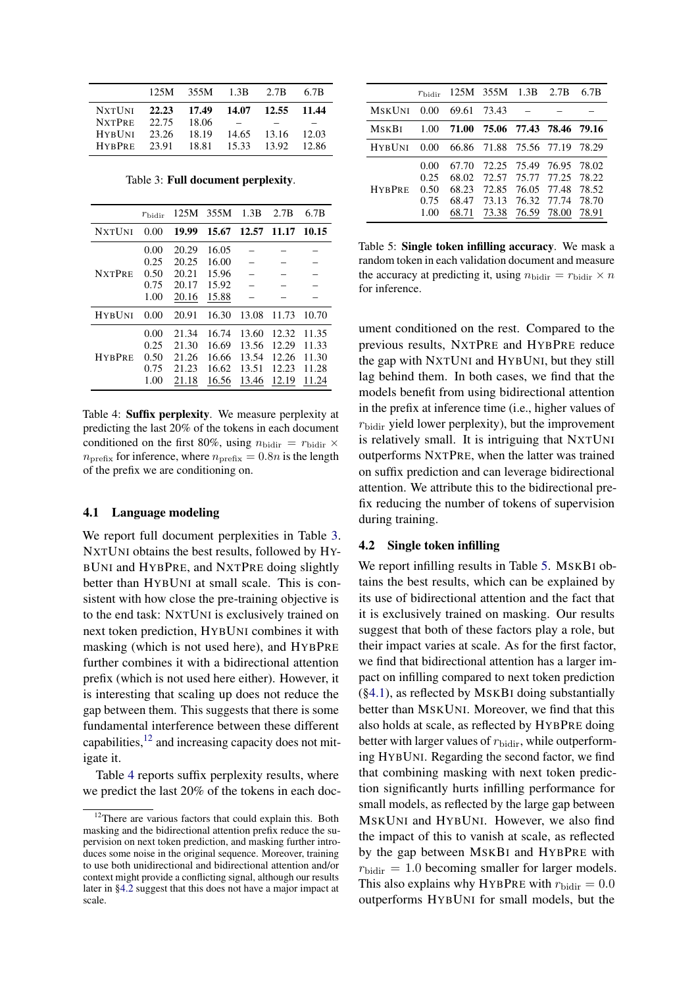<span id="page-4-0"></span>

|               | 125M  | 355M  | 1.3B  | 2.7B        | 6.7B   |
|---------------|-------|-------|-------|-------------|--------|
| <b>NXTUNI</b> | 22.23 | 17.49 |       | 14.07 12.55 | 11.44  |
| <b>NXTPRE</b> | 22.75 | 18.06 |       |             |        |
| <b>HYBUNI</b> | 23.26 | 18.19 | 14.65 | 13.16       | -12.03 |
| <b>HYBPRE</b> | 23.91 | 18.81 | 15.33 | 13.92       | 12.86  |

Table 3: Full document perplexity.

<span id="page-4-2"></span>

|               | $r_{\rm bidir}$ | 125M  | 355M  | 1.3B  | 2.7B  | 6.7B  |
|---------------|-----------------|-------|-------|-------|-------|-------|
| <b>NXTUNI</b> | 0.00            | 19.99 | 15.67 | 12.57 | 11.17 | 10.15 |
|               | 0.00            | 20.29 | 16.05 |       |       |       |
|               | 0.25            | 20.25 | 16.00 |       |       |       |
| <b>NXTPRE</b> | 0.50            | 20.21 | 15.96 |       |       |       |
|               | 0.75            | 20.17 | 15.92 |       |       |       |
|               | 1.00            | 20.16 | 15.88 |       |       |       |
| <b>HYBUNI</b> | 0.00            | 20.91 | 16.30 | 13.08 | 11.73 | 10.70 |
|               | 0.00            | 21.34 | 16.74 | 13.60 | 12.32 | 11.35 |
|               | 0.25            | 21.30 | 16.69 | 13.56 | 12.29 | 11.33 |
| <b>HYBPRE</b> | 0.50            | 21.26 | 16.66 | 13.54 | 12.26 | 11.30 |
|               | 0.75            | 21.23 | 16.62 | 13.51 | 12.23 | 11.28 |
|               | 1.00            | 21.18 | 16.56 | 13.46 | 12.19 | 11.24 |

Table 4: Suffix perplexity. We measure perplexity at predicting the last 20% of the tokens in each document conditioned on the first 80%, using  $n_{\text{bidir}} = r_{\text{bidir}} \times$  $n_{\text{prefix}}$  for inference, where  $n_{\text{prefix}} = 0.8n$  is the length of the prefix we are conditioning on.

#### <span id="page-4-5"></span>4.1 Language modeling

We report full document perplexities in Table [3.](#page-4-0) NXTUNI obtains the best results, followed by HY-BUNI and HYBPRE, and NXTPRE doing slightly better than HYBUNI at small scale. This is consistent with how close the pre-training objective is to the end task: NXTUNI is exclusively trained on next token prediction, HYBUNI combines it with masking (which is not used here), and HYBPRE further combines it with a bidirectional attention prefix (which is not used here either). However, it is interesting that scaling up does not reduce the gap between them. This suggests that there is some fundamental interference between these different capabilities, $12$  and increasing capacity does not mitigate it.

Table [4](#page-4-2) reports suffix perplexity results, where we predict the last 20% of the tokens in each doc-

<span id="page-4-4"></span>

|               | $r_{\rm hidir}$                      |                                    | 125M 355M 1.3B 2.7B                                                                                                                                               |  | 6.7B |
|---------------|--------------------------------------|------------------------------------|-------------------------------------------------------------------------------------------------------------------------------------------------------------------|--|------|
| MSKUNI 0.00   |                                      |                                    | 69.61 73.43                                                                                                                                                       |  |      |
| <b>MskBi</b>  |                                      | 1.00 71.00 75.06 77.43 78.46 79.16 |                                                                                                                                                                   |  |      |
| <b>HYBUNI</b> | 0.00                                 |                                    | 66.86 71.88 75.56 77.19 78.29                                                                                                                                     |  |      |
| <b>HYRPRE</b> | 0.00<br>0.25<br>0.50<br>0.75<br>1.00 |                                    | 67.70 72.25 75.49 76.95 78.02<br>68.02 72.57 75.77 77.25 78.22<br>68.23 72.85 76.05 77.48 78.52<br>68.47 73.13 76.32 77.74 78.70<br>68.71 73.38 76.59 78.00 78.91 |  |      |

Table 5: Single token infilling accuracy. We mask a random token in each validation document and measure the accuracy at predicting it, using  $n_{\text{bidir}} = r_{\text{bidir}} \times n$ for inference.

ument conditioned on the rest. Compared to the previous results, NXTPRE and HYBPRE reduce the gap with NXTUNI and HYBUNI, but they still lag behind them. In both cases, we find that the models benefit from using bidirectional attention in the prefix at inference time (i.e., higher values of  $r_{\text{bidir}}$  yield lower perplexity), but the improvement is relatively small. It is intriguing that NXTUNI outperforms NXTPRE, when the latter was trained on suffix prediction and can leverage bidirectional attention. We attribute this to the bidirectional prefix reducing the number of tokens of supervision during training.

### <span id="page-4-3"></span>4.2 Single token infilling

We report infilling results in Table [5.](#page-4-4) MSKBI obtains the best results, which can be explained by its use of bidirectional attention and the fact that it is exclusively trained on masking. Our results suggest that both of these factors play a role, but their impact varies at scale. As for the first factor, we find that bidirectional attention has a larger impact on infilling compared to next token prediction ([§4.1\)](#page-4-5), as reflected by MSKBI doing substantially better than MSKUNI. Moreover, we find that this also holds at scale, as reflected by HYBPRE doing better with larger values of  $r_{\text{bidir}}$ , while outperforming HYBUNI. Regarding the second factor, we find that combining masking with next token prediction significantly hurts infilling performance for small models, as reflected by the large gap between MSKUNI and HYBUNI. However, we also find the impact of this to vanish at scale, as reflected by the gap between MSKBI and HYBPRE with  $r_{\text{bidir}} = 1.0$  becoming smaller for larger models. This also explains why HYBPRE with  $r_{\text{bidir}} = 0.0$ outperforms HYBUNI for small models, but the

<span id="page-4-1"></span><sup>&</sup>lt;sup>12</sup>There are various factors that could explain this. Both masking and the bidirectional attention prefix reduce the supervision on next token prediction, and masking further introduces some noise in the original sequence. Moreover, training to use both unidirectional and bidirectional attention and/or context might provide a conflicting signal, although our results later in [§4.2](#page-4-3) suggest that this does not have a major impact at scale.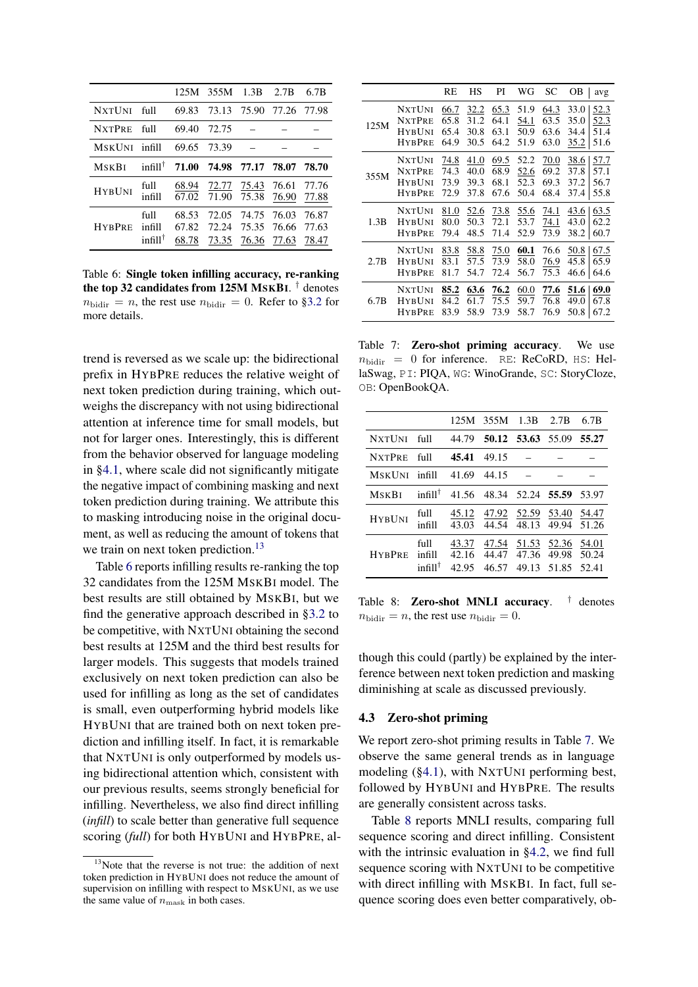<span id="page-5-1"></span>

|               |                                           |                               | 125M 355M               | 1.3B                    | 2.7B                                | 6.7B                    |
|---------------|-------------------------------------------|-------------------------------|-------------------------|-------------------------|-------------------------------------|-------------------------|
| <b>NXTUNI</b> | full                                      | 69.83                         |                         | 73.13 75.90 77.26 77.98 |                                     |                         |
| <b>NXTPRE</b> | full                                      | 69.40                         | 72.75                   |                         |                                     |                         |
| <b>MSKUNI</b> | infill                                    | 69.65                         | 73.39                   |                         |                                     |                         |
| <b>MSKBI</b>  | $\in$ infill <sup>†</sup>                 | 71.00 74.98 77.17 78.07 78.70 |                         |                         |                                     |                         |
| <b>HYBUNI</b> | full<br>infill                            | 68.94<br>67.02                | 71.90 75.38             | 72.77 75.43 76.61 77.76 | 76.90 77.88                         |                         |
| <b>HYRPRE</b> | full<br>infill<br>$\in$ infill $\uparrow$ | 68.53<br>67.82<br>68.78       | 72.05<br>72.24<br>73.35 | 75.35                   | 74.75 76.03<br>76.66<br>76.36 77.63 | 76.87<br>77.63<br>78.47 |

Table 6: Single token infilling accuracy, re-ranking the top 32 candidates from 125M MSKBI.  $\dagger$  denotes  $n_{\text{bidir}} = n$ , the rest use  $n_{\text{bidir}} = 0$ . Refer to [§3.2](#page-2-8) for more details.

trend is reversed as we scale up: the bidirectional prefix in HYBPRE reduces the relative weight of next token prediction during training, which outweighs the discrepancy with not using bidirectional attention at inference time for small models, but not for larger ones. Interestingly, this is different from the behavior observed for language modeling in [§4.1,](#page-4-5) where scale did not significantly mitigate the negative impact of combining masking and next token prediction during training. We attribute this to masking introducing noise in the original document, as well as reducing the amount of tokens that we train on next token prediction. $13$ 

Table [6](#page-5-1) reports infilling results re-ranking the top 32 candidates from the 125M MSKBI model. The best results are still obtained by MSKBI, but we find the generative approach described in [§3.2](#page-2-8) to be competitive, with NXTUNI obtaining the second best results at 125M and the third best results for larger models. This suggests that models trained exclusively on next token prediction can also be used for infilling as long as the set of candidates is small, even outperforming hybrid models like HYBUNI that are trained both on next token prediction and infilling itself. In fact, it is remarkable that NXTUNI is only outperformed by models using bidirectional attention which, consistent with our previous results, seems strongly beneficial for infilling. Nevertheless, we also find direct infilling (*infill*) to scale better than generative full sequence scoring (*full*) for both HYBUNI and HYBPRE, al-

<span id="page-5-2"></span>

|      |               | RE   | НS   | PI   | WG   | SС   | OВ   | avg  |
|------|---------------|------|------|------|------|------|------|------|
| 125M | <b>NXTUNI</b> | 66.7 | 32.2 | 65.3 | 51.9 | 64.3 | 33.0 | 52.3 |
|      | <b>NXTPRE</b> | 65.8 | 31.2 | 64.1 | 54.1 | 63.5 | 35.0 | 52.3 |
|      | <b>HYBUNI</b> | 65.4 | 30.8 | 63.1 | 50.9 | 63.6 | 34.4 | 51.4 |
|      | <b>HYBPRE</b> | 64.9 | 30.5 | 64.2 | 51.9 | 63.0 | 35.2 | 51.6 |
| 355M | <b>NXTUNI</b> | 74.8 | 41.0 | 69.5 | 52.2 | 70.0 | 38.6 | 57.7 |
|      | <b>NXTPRE</b> | 74.3 | 40.0 | 68.9 | 52.6 | 69.2 | 37.8 | 57.1 |
|      | HYBUNI        | 73.9 | 39.3 | 68.1 | 52.3 | 69.3 | 37.2 | 56.7 |
|      | <b>HYBPRE</b> | 72.9 | 37.8 | 67.6 | 50.4 | 68.4 | 37.4 | 55.8 |
| 1.3B | <b>NXTUNI</b> | 81.0 | 52.6 | 73.8 | 55.6 | 74.1 | 43.6 | 63.5 |
|      | HYBUNI        | 80.0 | 50.3 | 72.1 | 53.7 | 74.1 | 43.0 | 62.2 |
|      | <b>HYBPRE</b> | 79.4 | 48.5 | 71.4 | 52.9 | 73.9 | 38.2 | 60.7 |
| 2.7B | <b>NXTUNI</b> | 83.8 | 58.8 | 75.0 | 60.1 | 76.6 | 50.8 | 67.5 |
|      | <b>HYBUNI</b> | 83.1 | 57.5 | 73.9 | 58.0 | 76.9 | 45.8 | 65.9 |
|      | <b>HYBPRE</b> | 81.7 | 54.7 | 72.4 | 56.7 | 75.3 | 46.6 | 64.6 |
| 6.7B | <b>NXTUNI</b> | 85.2 | 63.6 | 76.2 | 60.0 | 77.6 | 51.6 | 69.0 |
|      | <b>HYBUNI</b> | 84.2 | 61.7 | 75.5 | 59.7 | 76.8 | 49.0 | 67.8 |
|      | <b>HYBPRE</b> | 83.9 | 58.9 | 73.9 | 58.7 | 76.9 | 50.8 | 67.2 |

Table 7: Zero-shot priming accuracy. We use  $n_{\text{bidir}} = 0$  for inference. RE: ReCoRD, HS: HellaSwag, PI: PIQA, WG: WinoGrande, SC: StoryCloze, OB: OpenBookQA.

<span id="page-5-3"></span>

|               |                                             | 125M                    | 355M                    | 1.3B                    | 2.7B                    | 6.7B                    |
|---------------|---------------------------------------------|-------------------------|-------------------------|-------------------------|-------------------------|-------------------------|
| <b>NXTUNI</b> | full                                        | 44.79                   |                         | 50.12 53.63             | 55.09                   | 55.27                   |
| <b>NXTPRE</b> | full                                        | 45.41                   | 49.15                   |                         |                         |                         |
| <b>MSKUNI</b> | infill                                      | 41.69                   | 44.15                   |                         |                         |                         |
| <b>MSKBI</b>  | $\in$ infill <sup>†</sup>                   | 41.56                   |                         | 48.34 52.24 55.59       |                         | 53.97                   |
| <b>HYBUNI</b> | full<br>infill                              | 45.12<br>43.03          | 47.92<br>44.54          | 52.59<br>48.13          | 53.40<br>49.94          | 54.47<br>51.26          |
| <b>HYBPRE</b> | full<br>infill<br>$\in$ infill <sup>†</sup> | 43.37<br>42.16<br>42.95 | 47.54<br>44.47<br>46.57 | 51.53<br>47.36<br>49.13 | 52.36<br>49.98<br>51.85 | 54.01<br>50.24<br>52.41 |

Table 8: Zero-shot MNLI accuracy. † denotes  $n_{\text{bidir}} = n$ , the rest use  $n_{\text{bidir}} = 0$ .

though this could (partly) be explained by the interference between next token prediction and masking diminishing at scale as discussed previously.

### 4.3 Zero-shot priming

We report zero-shot priming results in Table [7.](#page-5-2) We observe the same general trends as in language modeling ([§4.1\)](#page-4-5), with NXTUNI performing best, followed by HYBUNI and HYBPRE. The results are generally consistent across tasks.

Table [8](#page-5-3) reports MNLI results, comparing full sequence scoring and direct infilling. Consistent with the intrinsic evaluation in [§4.2,](#page-4-3) we find full sequence scoring with NXTUNI to be competitive with direct infilling with MSKBI. In fact, full sequence scoring does even better comparatively, ob-

<span id="page-5-0"></span> $13$ Note that the reverse is not true: the addition of next token prediction in HYBUNI does not reduce the amount of supervision on infilling with respect to MSKUNI, as we use the same value of  $n_{\text{mask}}$  in both cases.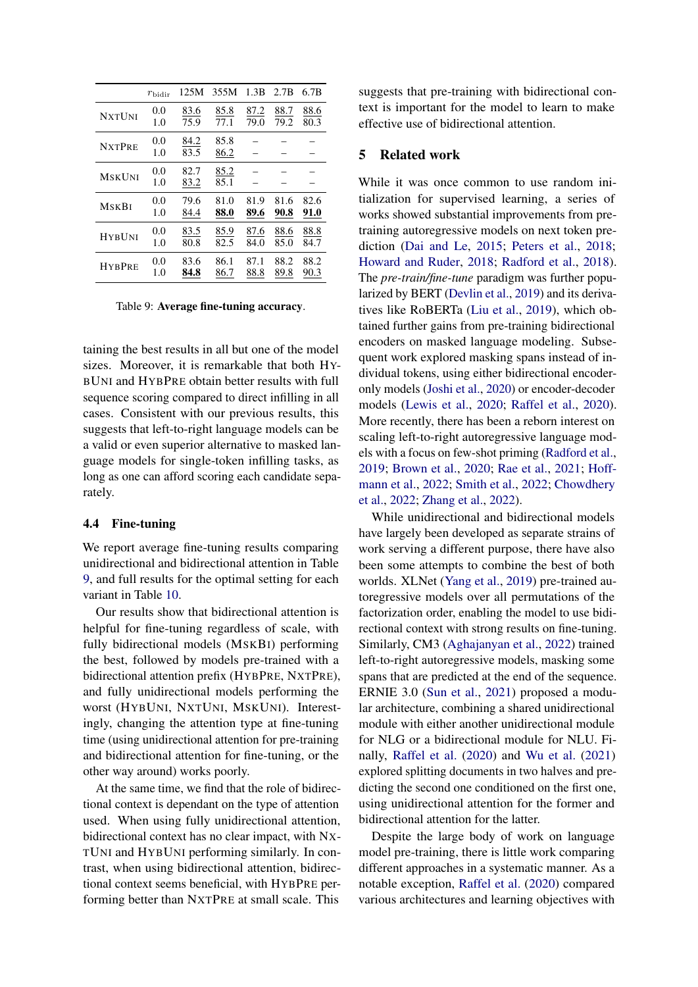<span id="page-6-0"></span>

|               | $r_{\rm bidir}$ | 125M         | 355M         | 1.3B | 2.7B | 6.7B |
|---------------|-----------------|--------------|--------------|------|------|------|
| <b>NXTUNI</b> | 0.0             | 83.6         | 85.8         | 87.2 | 88.7 | 88.6 |
|               | 1.0             | 75.9         | 77.1         | 79.0 | 79.2 | 80.3 |
| <b>NXTPRE</b> | 0.0<br>1.0      | 84.2<br>83.5 | 85.8<br>86.2 | -    |      |      |
| <b>MSKUNI</b> | 0.0<br>1.0      | 82.7<br>83.2 | 85.2<br>85.1 |      |      |      |
| <b>MSKBI</b>  | 0.0             | 79.6         | 81.0         | 81.9 | 81.6 | 82.6 |
|               | 1.0             | 84.4         | 88.0         | 89.6 | 90.8 | 91.0 |
| <b>HYBUNI</b> | 0.0             | 83.5         | 85.9         | 87.6 | 88.6 | 88.8 |
|               | 1.0             | 80.8         | 82.5         | 84.0 | 85.0 | 84.7 |
| <b>HYBPRE</b> | 0.0             | 83.6         | 86.1         | 87.1 | 88.2 | 88.2 |
|               | 1.0             | 84.8         | 86.7         | 88.8 | 89.8 | 90.3 |

Table 9: Average fine-tuning accuracy.

taining the best results in all but one of the model sizes. Moreover, it is remarkable that both HY-BUNI and HYBPRE obtain better results with full sequence scoring compared to direct infilling in all cases. Consistent with our previous results, this suggests that left-to-right language models can be a valid or even superior alternative to masked language models for single-token infilling tasks, as long as one can afford scoring each candidate separately.

#### 4.4 Fine-tuning

We report average fine-tuning results comparing unidirectional and bidirectional attention in Table [9,](#page-6-0) and full results for the optimal setting for each variant in Table [10.](#page-7-0)

Our results show that bidirectional attention is helpful for fine-tuning regardless of scale, with fully bidirectional models (MSKBI) performing the best, followed by models pre-trained with a bidirectional attention prefix (HYBPRE, NXTPRE), and fully unidirectional models performing the worst (HYBUNI, NXTUNI, MSKUNI). Interestingly, changing the attention type at fine-tuning time (using unidirectional attention for pre-training and bidirectional attention for fine-tuning, or the other way around) works poorly.

At the same time, we find that the role of bidirectional context is dependant on the type of attention used. When using fully unidirectional attention, bidirectional context has no clear impact, with NX-TUNI and HYBUNI performing similarly. In contrast, when using bidirectional attention, bidirectional context seems beneficial, with HYBPRE performing better than NXTPRE at small scale. This

suggests that pre-training with bidirectional context is important for the model to learn to make effective use of bidirectional attention.

### 5 Related work

While it was once common to use random initialization for supervised learning, a series of works showed substantial improvements from pretraining autoregressive models on next token prediction [\(Dai and Le,](#page-9-12) [2015;](#page-9-12) [Peters et al.,](#page-9-13) [2018;](#page-9-13) [Howard and Ruder,](#page-9-14) [2018;](#page-9-14) [Radford et al.,](#page-10-2) [2018\)](#page-10-2). The *pre-train/fine-tune* paradigm was further popularized by BERT [\(Devlin et al.,](#page-9-0) [2019\)](#page-9-0) and its derivatives like RoBERTa [\(Liu et al.,](#page-9-2) [2019\)](#page-9-2), which obtained further gains from pre-training bidirectional encoders on masked language modeling. Subsequent work explored masking spans instead of individual tokens, using either bidirectional encoderonly models [\(Joshi et al.,](#page-9-15) [2020\)](#page-9-15) or encoder-decoder models [\(Lewis et al.,](#page-9-1) [2020;](#page-9-1) [Raffel et al.,](#page-10-0) [2020\)](#page-10-0). More recently, there has been a reborn interest on scaling left-to-right autoregressive language models with a focus on few-shot priming [\(Radford et al.,](#page-10-3) [2019;](#page-10-3) [Brown et al.,](#page-8-1) [2020;](#page-8-1) [Rae et al.,](#page-10-11) [2021;](#page-10-11) [Hoff](#page-9-16)[mann et al.,](#page-9-16) [2022;](#page-9-16) [Smith et al.,](#page-10-12) [2022;](#page-10-12) [Chowdhery](#page-8-7) [et al.,](#page-8-7) [2022;](#page-8-7) [Zhang et al.,](#page-11-7) [2022\)](#page-11-7).

While unidirectional and bidirectional models have largely been developed as separate strains of work serving a different purpose, there have also been some attempts to combine the best of both worlds. XLNet [\(Yang et al.,](#page-11-8) [2019\)](#page-11-8) pre-trained autoregressive models over all permutations of the factorization order, enabling the model to use bidirectional context with strong results on fine-tuning. Similarly, CM3 [\(Aghajanyan et al.,](#page-8-3) [2022\)](#page-8-3) trained left-to-right autoregressive models, masking some spans that are predicted at the end of the sequence. ERNIE 3.0 [\(Sun et al.,](#page-10-13) [2021\)](#page-10-13) proposed a modular architecture, combining a shared unidirectional module with either another unidirectional module for NLG or a bidirectional module for NLU. Finally, [Raffel et al.](#page-10-0) [\(2020\)](#page-10-0) and [Wu et al.](#page-11-1) [\(2021\)](#page-11-1) explored splitting documents in two halves and predicting the second one conditioned on the first one, using unidirectional attention for the former and bidirectional attention for the latter.

Despite the large body of work on language model pre-training, there is little work comparing different approaches in a systematic manner. As a notable exception, [Raffel et al.](#page-10-0) [\(2020\)](#page-10-0) compared various architectures and learning objectives with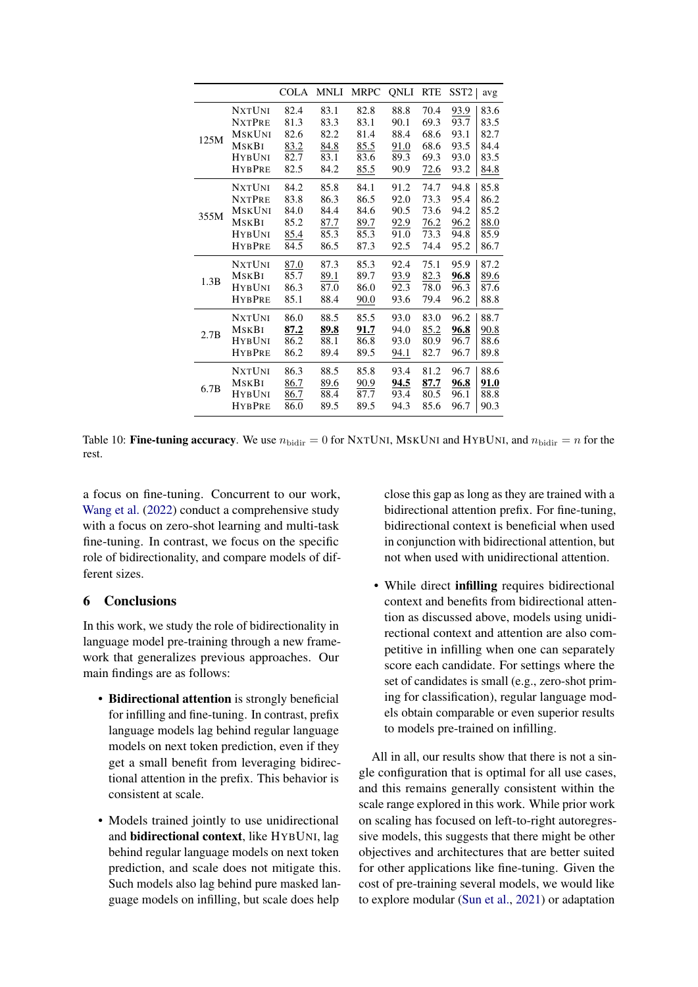<span id="page-7-0"></span>

|      |               | <b>COLA</b> | <b>MNLI</b> | <b>MRPC</b> | <b>QNLI</b> | <b>RTE</b> | SST <sub>2</sub> | avg  |
|------|---------------|-------------|-------------|-------------|-------------|------------|------------------|------|
|      | <b>NXTUNI</b> | 82.4        | 83.1        | 82.8        | 88.8        | 70.4       | <u>93.9</u>      | 83.6 |
|      | <b>NXTPRE</b> | 81.3        | 83.3        | 83.1        | 90.1        | 69.3       | 93.7             | 83.5 |
| 125M | <b>MSKUNI</b> | 82.6        | 82.2        | 81.4        | 88.4        | 68.6       | 93.1             | 82.7 |
|      | <b>MSKBI</b>  | 83.2        | 84.8        | 85.5        | 91.0        | 68.6       | 93.5             | 84.4 |
|      | <b>HYBUNI</b> | 82.7        | 83.1        | 83.6        | 89.3        | 69.3       | 93.0             | 83.5 |
|      | <b>HYBPRE</b> | 82.5        | 84.2        | 85.5        | 90.9        | 72.6       | 93.2             | 84.8 |
|      | <b>NXTUNI</b> | 84.2        | 85.8        | 84.1        | 91.2        | 74.7       | 94.8             | 85.8 |
|      | <b>NXTPRE</b> | 83.8        | 86.3        | 86.5        | 92.0        | 73.3       | 95.4             | 86.2 |
| 355M | <b>MSKUNI</b> | 84.0        | 84.4        | 84.6        | 90.5        | 73.6       | 94.2             | 85.2 |
|      | <b>MSKBI</b>  | 85.2        | 87.7        | 89.7        | 92.9        | 76.2       | 96.2             | 88.0 |
|      | <b>HYBUNI</b> | 85.4        | 85.3        | 85.3        | 91.0        | 73.3       | 94.8             | 85.9 |
|      | <b>HYBPRE</b> | 84.5        | 86.5        | 87.3        | 92.5        | 74.4       | 95.2             | 86.7 |
|      | <b>NXTUNI</b> | 87.0        | 87.3        | 85.3        | 92.4        | 75.1       | 95.9             | 87.2 |
| 1.3B | <b>MSKBI</b>  | 85.7        | 89.1        | 89.7        | <u>93.9</u> | 82.3       | 96.8             | 89.6 |
|      | <b>HYBUNI</b> | 86.3        | 87.0        | 86.0        | 92.3        | 78.0       | 96.3             | 87.6 |
|      | <b>HYBPRE</b> | 85.1        | 88.4        | 90.0        | 93.6        | 79.4       | 96.2             | 88.8 |
|      | <b>NXTUNI</b> | 86.0        | 88.5        | 85.5        | 93.0        | 83.0       | 96.2             | 88.7 |
| 2.7B | <b>MSKBI</b>  | 87.2        | 89.8        | 91.7        | 94.0        | 85.2       | 96.8             | 90.8 |
|      | <b>HYBUNI</b> | 86.2        | 88.1        | 86.8        | 93.0        | 80.9       | 96.7             | 88.6 |
|      | <b>HYBPRE</b> | 86.2        | 89.4        | 89.5        | 94.1        | 82.7       | 96.7             | 89.8 |
|      | <b>NXTUNI</b> | 86.3        | 88.5        | 85.8        | 93.4        | 81.2       | 96.7             | 88.6 |
| 6.7B | <b>MSKBI</b>  | 86.7        | 89.6        | 90.9        | 94.5        | 87.7       | 96.8             | 91.0 |
|      | <b>HYBUNI</b> | 86.7        | 88.4        | 87.7        | 93.4        | 80.5       | 96.1             | 88.8 |
|      | <b>HYBPRE</b> | 86.0        | 89.5        | 89.5        | 94.3        | 85.6       | 96.7             | 90.3 |

Table 10: **Fine-tuning accuracy**. We use  $n_{\text{bidir}} = 0$  for NXTUNI, MSKUNI and HYBUNI, and  $n_{\text{bidir}} = n$  for the rest.

a focus on fine-tuning. Concurrent to our work, [Wang et al.](#page-10-14) [\(2022\)](#page-10-14) conduct a comprehensive study with a focus on zero-shot learning and multi-task fine-tuning. In contrast, we focus on the specific role of bidirectionality, and compare models of different sizes.

# 6 Conclusions

In this work, we study the role of bidirectionality in language model pre-training through a new framework that generalizes previous approaches. Our main findings are as follows:

- Bidirectional attention is strongly beneficial for infilling and fine-tuning. In contrast, prefix language models lag behind regular language models on next token prediction, even if they get a small benefit from leveraging bidirectional attention in the prefix. This behavior is consistent at scale.
- Models trained jointly to use unidirectional and bidirectional context, like HYBUNI, lag behind regular language models on next token prediction, and scale does not mitigate this. Such models also lag behind pure masked language models on infilling, but scale does help

close this gap as long as they are trained with a bidirectional attention prefix. For fine-tuning, bidirectional context is beneficial when used in conjunction with bidirectional attention, but not when used with unidirectional attention.

• While direct infilling requires bidirectional context and benefits from bidirectional attention as discussed above, models using unidirectional context and attention are also competitive in infilling when one can separately score each candidate. For settings where the set of candidates is small (e.g., zero-shot priming for classification), regular language models obtain comparable or even superior results to models pre-trained on infilling.

All in all, our results show that there is not a single configuration that is optimal for all use cases, and this remains generally consistent within the scale range explored in this work. While prior work on scaling has focused on left-to-right autoregressive models, this suggests that there might be other objectives and architectures that are better suited for other applications like fine-tuning. Given the cost of pre-training several models, we would like to explore modular [\(Sun et al.,](#page-10-13) [2021\)](#page-10-13) or adaptation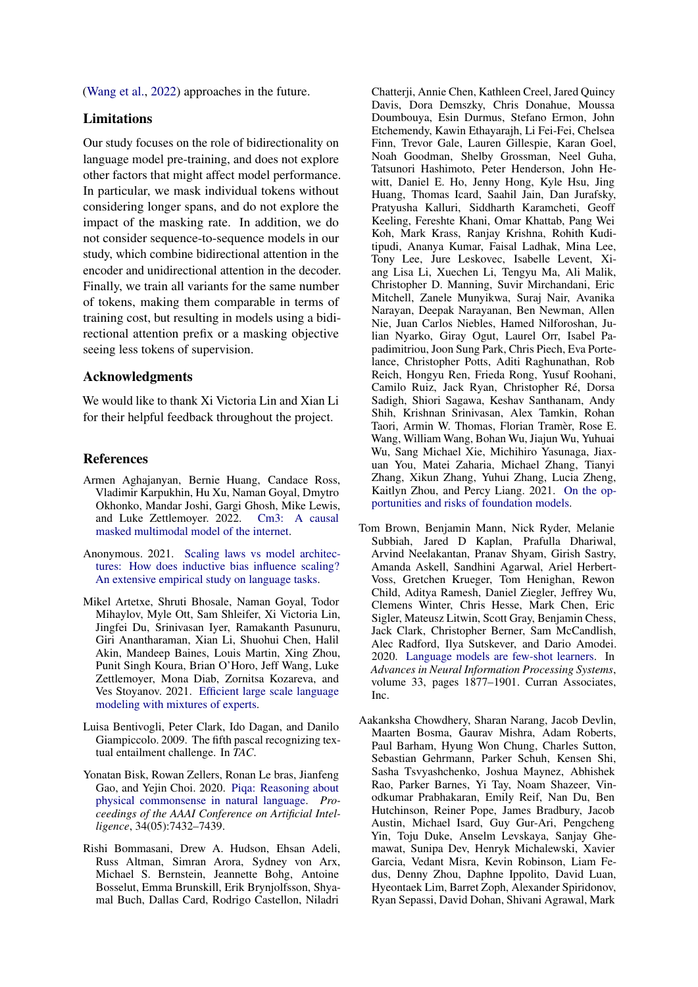[\(Wang et al.,](#page-10-14) [2022\)](#page-10-14) approaches in the future.

### **Limitations**

Our study focuses on the role of bidirectionality on language model pre-training, and does not explore other factors that might affect model performance. In particular, we mask individual tokens without considering longer spans, and do not explore the impact of the masking rate. In addition, we do not consider sequence-to-sequence models in our study, which combine bidirectional attention in the encoder and unidirectional attention in the decoder. Finally, we train all variants for the same number of tokens, making them comparable in terms of training cost, but resulting in models using a bidirectional attention prefix or a masking objective seeing less tokens of supervision.

# Acknowledgments

We would like to thank Xi Victoria Lin and Xian Li for their helpful feedback throughout the project.

### **References**

- <span id="page-8-3"></span>Armen Aghajanyan, Bernie Huang, Candace Ross, Vladimir Karpukhin, Hu Xu, Naman Goyal, Dmytro Okhonko, Mandar Joshi, Gargi Ghosh, Mike Lewis, and Luke Zettlemoyer. 2022. [Cm3: A causal](https://doi.org/10.48550/ARXIV.2201.07520) [masked multimodal model of the internet.](https://doi.org/10.48550/ARXIV.2201.07520)
- <span id="page-8-2"></span>Anonymous. 2021. [Scaling laws vs model architec](https://openreview.net/forum?id=Wrtp36cbl61)[tures: How does inductive bias influence scaling?](https://openreview.net/forum?id=Wrtp36cbl61) [An extensive empirical study on language tasks.](https://openreview.net/forum?id=Wrtp36cbl61)
- <span id="page-8-4"></span>Mikel Artetxe, Shruti Bhosale, Naman Goyal, Todor Mihaylov, Myle Ott, Sam Shleifer, Xi Victoria Lin, Jingfei Du, Srinivasan Iyer, Ramakanth Pasunuru, Giri Anantharaman, Xian Li, Shuohui Chen, Halil Akin, Mandeep Baines, Louis Martin, Xing Zhou, Punit Singh Koura, Brian O'Horo, Jeff Wang, Luke Zettlemoyer, Mona Diab, Zornitsa Kozareva, and Ves Stoyanov. 2021. [Efficient large scale language](https://doi.org/10.48550/ARXIV.2112.10684) [modeling with mixtures of experts.](https://doi.org/10.48550/ARXIV.2112.10684)
- <span id="page-8-6"></span>Luisa Bentivogli, Peter Clark, Ido Dagan, and Danilo Giampiccolo. 2009. The fifth pascal recognizing textual entailment challenge. In *TAC*.
- <span id="page-8-5"></span>Yonatan Bisk, Rowan Zellers, Ronan Le bras, Jianfeng Gao, and Yejin Choi. 2020. [Piqa: Reasoning about](https://doi.org/10.1609/aaai.v34i05.6239) [physical commonsense in natural language.](https://doi.org/10.1609/aaai.v34i05.6239) *Proceedings of the AAAI Conference on Artificial Intelligence*, 34(05):7432–7439.
- <span id="page-8-0"></span>Rishi Bommasani, Drew A. Hudson, Ehsan Adeli, Russ Altman, Simran Arora, Sydney von Arx, Michael S. Bernstein, Jeannette Bohg, Antoine Bosselut, Emma Brunskill, Erik Brynjolfsson, Shyamal Buch, Dallas Card, Rodrigo Castellon, Niladri

Chatterji, Annie Chen, Kathleen Creel, Jared Quincy Davis, Dora Demszky, Chris Donahue, Moussa Doumbouya, Esin Durmus, Stefano Ermon, John Etchemendy, Kawin Ethayarajh, Li Fei-Fei, Chelsea Finn, Trevor Gale, Lauren Gillespie, Karan Goel, Noah Goodman, Shelby Grossman, Neel Guha, Tatsunori Hashimoto, Peter Henderson, John Hewitt, Daniel E. Ho, Jenny Hong, Kyle Hsu, Jing Huang, Thomas Icard, Saahil Jain, Dan Jurafsky, Pratyusha Kalluri, Siddharth Karamcheti, Geoff Keeling, Fereshte Khani, Omar Khattab, Pang Wei Koh, Mark Krass, Ranjay Krishna, Rohith Kuditipudi, Ananya Kumar, Faisal Ladhak, Mina Lee, Tony Lee, Jure Leskovec, Isabelle Levent, Xiang Lisa Li, Xuechen Li, Tengyu Ma, Ali Malik, Christopher D. Manning, Suvir Mirchandani, Eric Mitchell, Zanele Munyikwa, Suraj Nair, Avanika Narayan, Deepak Narayanan, Ben Newman, Allen Nie, Juan Carlos Niebles, Hamed Nilforoshan, Julian Nyarko, Giray Ogut, Laurel Orr, Isabel Papadimitriou, Joon Sung Park, Chris Piech, Eva Portelance, Christopher Potts, Aditi Raghunathan, Rob Reich, Hongyu Ren, Frieda Rong, Yusuf Roohani, Camilo Ruiz, Jack Ryan, Christopher Ré, Dorsa Sadigh, Shiori Sagawa, Keshav Santhanam, Andy Shih, Krishnan Srinivasan, Alex Tamkin, Rohan Taori, Armin W. Thomas, Florian Tramèr, Rose E. Wang, William Wang, Bohan Wu, Jiajun Wu, Yuhuai Wu, Sang Michael Xie, Michihiro Yasunaga, Jiaxuan You, Matei Zaharia, Michael Zhang, Tianyi Zhang, Xikun Zhang, Yuhui Zhang, Lucia Zheng, Kaitlyn Zhou, and Percy Liang. 2021. [On the op](http://arxiv.org/abs/2108.07258)[portunities and risks of foundation models.](http://arxiv.org/abs/2108.07258)

- <span id="page-8-1"></span>Tom Brown, Benjamin Mann, Nick Ryder, Melanie Subbiah, Jared D Kaplan, Prafulla Dhariwal, Arvind Neelakantan, Pranav Shyam, Girish Sastry, Amanda Askell, Sandhini Agarwal, Ariel Herbert-Voss, Gretchen Krueger, Tom Henighan, Rewon Child, Aditya Ramesh, Daniel Ziegler, Jeffrey Wu, Clemens Winter, Chris Hesse, Mark Chen, Eric Sigler, Mateusz Litwin, Scott Gray, Benjamin Chess, Jack Clark, Christopher Berner, Sam McCandlish, Alec Radford, Ilya Sutskever, and Dario Amodei. 2020. [Language models are few-shot learners.](https://proceedings.neurips.cc/paper/2020/file/1457c0d6bfcb4967418bfb8ac142f64a-Paper.pdf) In *Advances in Neural Information Processing Systems*, volume 33, pages 1877–1901. Curran Associates, Inc.
- <span id="page-8-7"></span>Aakanksha Chowdhery, Sharan Narang, Jacob Devlin, Maarten Bosma, Gaurav Mishra, Adam Roberts, Paul Barham, Hyung Won Chung, Charles Sutton, Sebastian Gehrmann, Parker Schuh, Kensen Shi, Sasha Tsvyashchenko, Joshua Maynez, Abhishek Rao, Parker Barnes, Yi Tay, Noam Shazeer, Vinodkumar Prabhakaran, Emily Reif, Nan Du, Ben Hutchinson, Reiner Pope, James Bradbury, Jacob Austin, Michael Isard, Guy Gur-Ari, Pengcheng Yin, Toju Duke, Anselm Levskaya, Sanjay Ghemawat, Sunipa Dev, Henryk Michalewski, Xavier Garcia, Vedant Misra, Kevin Robinson, Liam Fedus, Denny Zhou, Daphne Ippolito, David Luan, Hyeontaek Lim, Barret Zoph, Alexander Spiridonov, Ryan Sepassi, David Dohan, Shivani Agrawal, Mark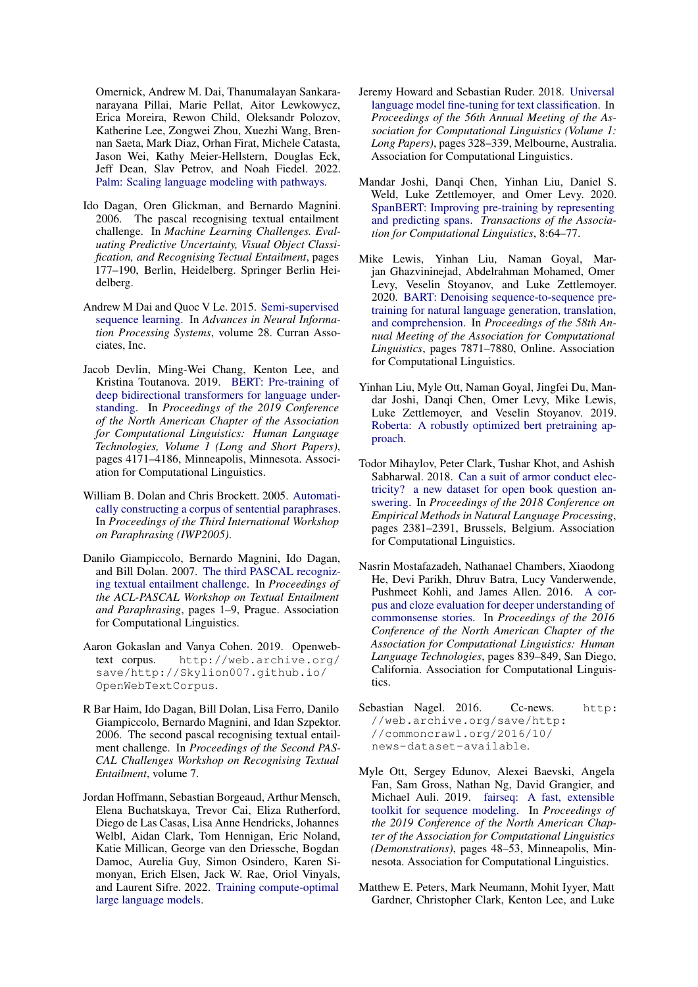Omernick, Andrew M. Dai, Thanumalayan Sankaranarayana Pillai, Marie Pellat, Aitor Lewkowycz, Erica Moreira, Rewon Child, Oleksandr Polozov, Katherine Lee, Zongwei Zhou, Xuezhi Wang, Brennan Saeta, Mark Diaz, Orhan Firat, Michele Catasta, Jason Wei, Kathy Meier-Hellstern, Douglas Eck, Jeff Dean, Slav Petrov, and Noah Fiedel. 2022. [Palm: Scaling language modeling with pathways.](https://doi.org/10.48550/ARXIV.2204.02311)

- <span id="page-9-9"></span>Ido Dagan, Oren Glickman, and Bernardo Magnini. 2006. The pascal recognising textual entailment challenge. In *Machine Learning Challenges. Evaluating Predictive Uncertainty, Visual Object Classification, and Recognising Tectual Entailment*, pages 177–190, Berlin, Heidelberg. Springer Berlin Heidelberg.
- <span id="page-9-12"></span>Andrew M Dai and Quoc V Le. 2015. [Semi-supervised](https://proceedings.neurips.cc/paper/2015/file/7137debd45ae4d0ab9aa953017286b20-Paper.pdf) [sequence learning.](https://proceedings.neurips.cc/paper/2015/file/7137debd45ae4d0ab9aa953017286b20-Paper.pdf) In *Advances in Neural Information Processing Systems*, volume 28. Curran Associates, Inc.
- <span id="page-9-0"></span>Jacob Devlin, Ming-Wei Chang, Kenton Lee, and Kristina Toutanova. 2019. [BERT: Pre-training of](https://doi.org/10.18653/v1/N19-1423) [deep bidirectional transformers for language under](https://doi.org/10.18653/v1/N19-1423)[standing.](https://doi.org/10.18653/v1/N19-1423) In *Proceedings of the 2019 Conference of the North American Chapter of the Association for Computational Linguistics: Human Language Technologies, Volume 1 (Long and Short Papers)*, pages 4171–4186, Minneapolis, Minnesota. Association for Computational Linguistics.
- <span id="page-9-8"></span>William B. Dolan and Chris Brockett. 2005. [Automati](https://aclanthology.org/I05-5002)[cally constructing a corpus of sentential paraphrases.](https://aclanthology.org/I05-5002) In *Proceedings of the Third International Workshop on Paraphrasing (IWP2005)*.
- <span id="page-9-11"></span>Danilo Giampiccolo, Bernardo Magnini, Ido Dagan, and Bill Dolan. 2007. [The third PASCAL recogniz](https://aclanthology.org/W07-1401)[ing textual entailment challenge.](https://aclanthology.org/W07-1401) In *Proceedings of the ACL-PASCAL Workshop on Textual Entailment and Paraphrasing*, pages 1–9, Prague. Association for Computational Linguistics.
- <span id="page-9-4"></span>Aaron Gokaslan and Vanya Cohen. 2019. Openwebtext corpus. http://web.archive.org/ save/http://Skylion007.github.io/ OpenWebTextCorpus.
- <span id="page-9-10"></span>R Bar Haim, Ido Dagan, Bill Dolan, Lisa Ferro, Danilo Giampiccolo, Bernardo Magnini, and Idan Szpektor. 2006. The second pascal recognising textual entailment challenge. In *Proceedings of the Second PAS-CAL Challenges Workshop on Recognising Textual Entailment*, volume 7.
- <span id="page-9-16"></span>Jordan Hoffmann, Sebastian Borgeaud, Arthur Mensch, Elena Buchatskaya, Trevor Cai, Eliza Rutherford, Diego de Las Casas, Lisa Anne Hendricks, Johannes Welbl, Aidan Clark, Tom Hennigan, Eric Noland, Katie Millican, George van den Driessche, Bogdan Damoc, Aurelia Guy, Simon Osindero, Karen Simonyan, Erich Elsen, Jack W. Rae, Oriol Vinyals, and Laurent Sifre. 2022. [Training compute-optimal](https://doi.org/10.48550/ARXIV.2203.15556) [large language models.](https://doi.org/10.48550/ARXIV.2203.15556)
- <span id="page-9-14"></span>Jeremy Howard and Sebastian Ruder. 2018. [Universal](https://doi.org/10.18653/v1/P18-1031) [language model fine-tuning for text classification.](https://doi.org/10.18653/v1/P18-1031) In *Proceedings of the 56th Annual Meeting of the Association for Computational Linguistics (Volume 1: Long Papers)*, pages 328–339, Melbourne, Australia. Association for Computational Linguistics.
- <span id="page-9-15"></span>Mandar Joshi, Danqi Chen, Yinhan Liu, Daniel S. Weld, Luke Zettlemoyer, and Omer Levy. 2020. [SpanBERT: Improving pre-training by representing](https://doi.org/10.1162/tacl_a_00300) [and predicting spans.](https://doi.org/10.1162/tacl_a_00300) *Transactions of the Association for Computational Linguistics*, 8:64–77.
- <span id="page-9-1"></span>Mike Lewis, Yinhan Liu, Naman Goyal, Marjan Ghazvininejad, Abdelrahman Mohamed, Omer Levy, Veselin Stoyanov, and Luke Zettlemoyer. 2020. [BART: Denoising sequence-to-sequence pre](https://doi.org/10.18653/v1/2020.acl-main.703)[training for natural language generation, translation,](https://doi.org/10.18653/v1/2020.acl-main.703) [and comprehension.](https://doi.org/10.18653/v1/2020.acl-main.703) In *Proceedings of the 58th Annual Meeting of the Association for Computational Linguistics*, pages 7871–7880, Online. Association for Computational Linguistics.
- <span id="page-9-2"></span>Yinhan Liu, Myle Ott, Naman Goyal, Jingfei Du, Mandar Joshi, Danqi Chen, Omer Levy, Mike Lewis, Luke Zettlemoyer, and Veselin Stoyanov. 2019. [Roberta: A robustly optimized bert pretraining ap](http://arxiv.org/abs/1907.11692)[proach.](http://arxiv.org/abs/1907.11692)
- <span id="page-9-7"></span>Todor Mihaylov, Peter Clark, Tushar Khot, and Ashish Sabharwal. 2018. [Can a suit of armor conduct elec](https://doi.org/10.18653/v1/D18-1260)[tricity? a new dataset for open book question an](https://doi.org/10.18653/v1/D18-1260)[swering.](https://doi.org/10.18653/v1/D18-1260) In *Proceedings of the 2018 Conference on Empirical Methods in Natural Language Processing*, pages 2381–2391, Brussels, Belgium. Association for Computational Linguistics.
- <span id="page-9-6"></span>Nasrin Mostafazadeh, Nathanael Chambers, Xiaodong He, Devi Parikh, Dhruv Batra, Lucy Vanderwende, Pushmeet Kohli, and James Allen. 2016. [A cor](https://doi.org/10.18653/v1/N16-1098)[pus and cloze evaluation for deeper understanding of](https://doi.org/10.18653/v1/N16-1098) [commonsense stories.](https://doi.org/10.18653/v1/N16-1098) In *Proceedings of the 2016 Conference of the North American Chapter of the Association for Computational Linguistics: Human Language Technologies*, pages 839–849, San Diego, California. Association for Computational Linguistics.
- <span id="page-9-3"></span>Sebastian Nagel. 2016. Cc-news. http: //web.archive.org/save/http: //commoncrawl.org/2016/10/ news-dataset-available.
- <span id="page-9-5"></span>Myle Ott, Sergey Edunov, Alexei Baevski, Angela Fan, Sam Gross, Nathan Ng, David Grangier, and Michael Auli. 2019. [fairseq: A fast, extensible](https://doi.org/10.18653/v1/N19-4009) [toolkit for sequence modeling.](https://doi.org/10.18653/v1/N19-4009) In *Proceedings of the 2019 Conference of the North American Chapter of the Association for Computational Linguistics (Demonstrations)*, pages 48–53, Minneapolis, Minnesota. Association for Computational Linguistics.
- <span id="page-9-13"></span>Matthew E. Peters, Mark Neumann, Mohit Iyyer, Matt Gardner, Christopher Clark, Kenton Lee, and Luke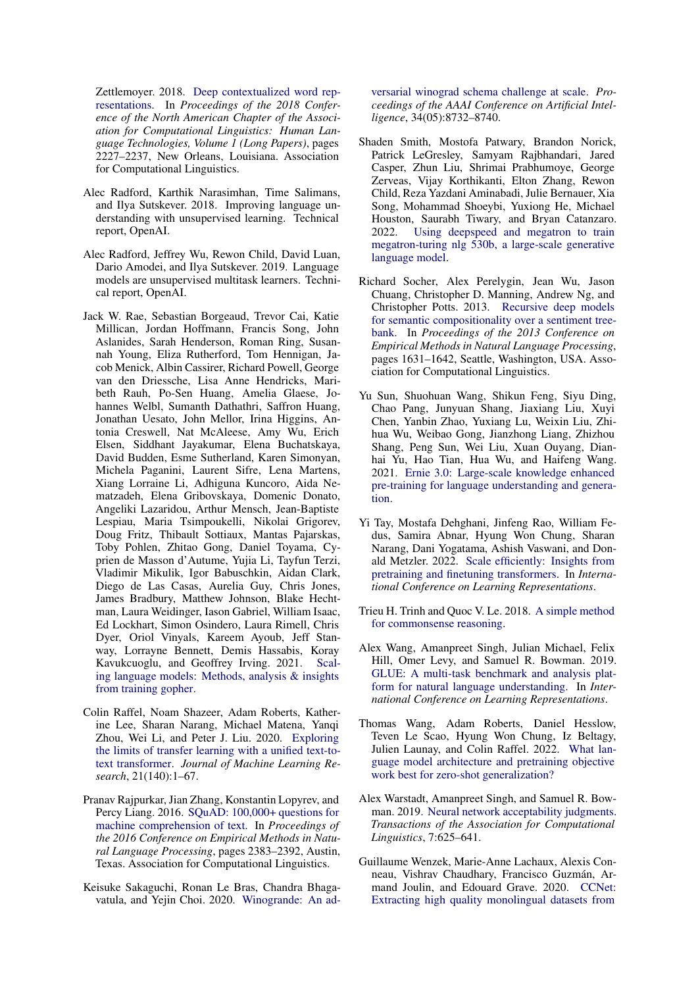Zettlemoyer. 2018. [Deep contextualized word rep](https://doi.org/10.18653/v1/N18-1202)[resentations.](https://doi.org/10.18653/v1/N18-1202) In *Proceedings of the 2018 Conference of the North American Chapter of the Association for Computational Linguistics: Human Language Technologies, Volume 1 (Long Papers)*, pages 2227–2237, New Orleans, Louisiana. Association for Computational Linguistics.

- <span id="page-10-2"></span>Alec Radford, Karthik Narasimhan, Time Salimans, and Ilya Sutskever. 2018. Improving language understanding with unsupervised learning. Technical report, OpenAI.
- <span id="page-10-3"></span>Alec Radford, Jeffrey Wu, Rewon Child, David Luan, Dario Amodei, and Ilya Sutskever. 2019. Language models are unsupervised multitask learners. Technical report, OpenAI.
- <span id="page-10-11"></span>Jack W. Rae, Sebastian Borgeaud, Trevor Cai, Katie Millican, Jordan Hoffmann, Francis Song, John Aslanides, Sarah Henderson, Roman Ring, Susannah Young, Eliza Rutherford, Tom Hennigan, Jacob Menick, Albin Cassirer, Richard Powell, George van den Driessche, Lisa Anne Hendricks, Maribeth Rauh, Po-Sen Huang, Amelia Glaese, Johannes Welbl, Sumanth Dathathri, Saffron Huang, Jonathan Uesato, John Mellor, Irina Higgins, Antonia Creswell, Nat McAleese, Amy Wu, Erich Elsen, Siddhant Jayakumar, Elena Buchatskaya, David Budden, Esme Sutherland, Karen Simonyan, Michela Paganini, Laurent Sifre, Lena Martens, Xiang Lorraine Li, Adhiguna Kuncoro, Aida Nematzadeh, Elena Gribovskaya, Domenic Donato, Angeliki Lazaridou, Arthur Mensch, Jean-Baptiste Lespiau, Maria Tsimpoukelli, Nikolai Grigorev, Doug Fritz, Thibault Sottiaux, Mantas Pajarskas, Toby Pohlen, Zhitao Gong, Daniel Toyama, Cyprien de Masson d'Autume, Yujia Li, Tayfun Terzi, Vladimir Mikulik, Igor Babuschkin, Aidan Clark, Diego de Las Casas, Aurelia Guy, Chris Jones, James Bradbury, Matthew Johnson, Blake Hechtman, Laura Weidinger, Iason Gabriel, William Isaac, Ed Lockhart, Simon Osindero, Laura Rimell, Chris Dyer, Oriol Vinyals, Kareem Ayoub, Jeff Stanway, Lorrayne Bennett, Demis Hassabis, Koray Kavukcuoglu, and Geoffrey Irving. 2021. [Scal](https://doi.org/10.48550/ARXIV.2112.11446)[ing language models: Methods, analysis & insights](https://doi.org/10.48550/ARXIV.2112.11446) [from training gopher.](https://doi.org/10.48550/ARXIV.2112.11446)
- <span id="page-10-0"></span>Colin Raffel, Noam Shazeer, Adam Roberts, Katherine Lee, Sharan Narang, Michael Matena, Yanqi Zhou, Wei Li, and Peter J. Liu. 2020. [Exploring](http://jmlr.org/papers/v21/20-074.html) [the limits of transfer learning with a unified text-to](http://jmlr.org/papers/v21/20-074.html)[text transformer.](http://jmlr.org/papers/v21/20-074.html) *Journal of Machine Learning Research*, 21(140):1–67.
- <span id="page-10-9"></span>Pranav Rajpurkar, Jian Zhang, Konstantin Lopyrev, and Percy Liang. 2016. [SQuAD: 100,000+ questions for](https://doi.org/10.18653/v1/D16-1264) [machine comprehension of text.](https://doi.org/10.18653/v1/D16-1264) In *Proceedings of the 2016 Conference on Empirical Methods in Natural Language Processing*, pages 2383–2392, Austin, Texas. Association for Computational Linguistics.
- <span id="page-10-6"></span>Keisuke Sakaguchi, Ronan Le Bras, Chandra Bhagavatula, and Yejin Choi. 2020. [Winogrande: An ad-](https://doi.org/10.1609/aaai.v34i05.6399)

[versarial winograd schema challenge at scale.](https://doi.org/10.1609/aaai.v34i05.6399) *Proceedings of the AAAI Conference on Artificial Intelligence*, 34(05):8732–8740.

- <span id="page-10-12"></span>Shaden Smith, Mostofa Patwary, Brandon Norick, Patrick LeGresley, Samyam Rajbhandari, Jared Casper, Zhun Liu, Shrimai Prabhumoye, George Zerveas, Vijay Korthikanti, Elton Zhang, Rewon Child, Reza Yazdani Aminabadi, Julie Bernauer, Xia Song, Mohammad Shoeybi, Yuxiong He, Michael Houston, Saurabh Tiwary, and Bryan Catanzaro. 2022. [Using deepspeed and megatron to train](https://doi.org/10.48550/ARXIV.2201.11990) [megatron-turing nlg 530b, a large-scale generative](https://doi.org/10.48550/ARXIV.2201.11990) [language model.](https://doi.org/10.48550/ARXIV.2201.11990)
- <span id="page-10-10"></span>Richard Socher, Alex Perelygin, Jean Wu, Jason Chuang, Christopher D. Manning, Andrew Ng, and Christopher Potts. 2013. [Recursive deep models](https://aclanthology.org/D13-1170) [for semantic compositionality over a sentiment tree](https://aclanthology.org/D13-1170)[bank.](https://aclanthology.org/D13-1170) In *Proceedings of the 2013 Conference on Empirical Methods in Natural Language Processing*, pages 1631–1642, Seattle, Washington, USA. Association for Computational Linguistics.
- <span id="page-10-13"></span>Yu Sun, Shuohuan Wang, Shikun Feng, Siyu Ding, Chao Pang, Junyuan Shang, Jiaxiang Liu, Xuyi Chen, Yanbin Zhao, Yuxiang Lu, Weixin Liu, Zhihua Wu, Weibao Gong, Jianzhong Liang, Zhizhou Shang, Peng Sun, Wei Liu, Xuan Ouyang, Dianhai Yu, Hao Tian, Hua Wu, and Haifeng Wang. 2021. [Ernie 3.0: Large-scale knowledge enhanced](https://doi.org/10.48550/ARXIV.2107.02137) [pre-training for language understanding and genera](https://doi.org/10.48550/ARXIV.2107.02137)[tion.](https://doi.org/10.48550/ARXIV.2107.02137)
- <span id="page-10-1"></span>Yi Tay, Mostafa Dehghani, Jinfeng Rao, William Fedus, Samira Abnar, Hyung Won Chung, Sharan Narang, Dani Yogatama, Ashish Vaswani, and Donald Metzler. 2022. [Scale efficiently: Insights from](https://openreview.net/forum?id=f2OYVDyfIB) [pretraining and finetuning transformers.](https://openreview.net/forum?id=f2OYVDyfIB) In *International Conference on Learning Representations*.
- <span id="page-10-4"></span>Trieu H. Trinh and Quoc V. Le. 2018. [A simple method](https://doi.org/10.48550/ARXIV.1806.02847) [for commonsense reasoning.](https://doi.org/10.48550/ARXIV.1806.02847)
- <span id="page-10-7"></span>Alex Wang, Amanpreet Singh, Julian Michael, Felix Hill, Omer Levy, and Samuel R. Bowman. 2019. [GLUE: A multi-task benchmark and analysis plat](https://openreview.net/forum?id=rJ4km2R5t7)[form for natural language understanding.](https://openreview.net/forum?id=rJ4km2R5t7) In *International Conference on Learning Representations*.
- <span id="page-10-14"></span>Thomas Wang, Adam Roberts, Daniel Hesslow, Teven Le Scao, Hyung Won Chung, Iz Beltagy, Julien Launay, and Colin Raffel. 2022. [What lan](http://arxiv.org/abs/2204.05832)[guage model architecture and pretraining objective](http://arxiv.org/abs/2204.05832) [work best for zero-shot generalization?](http://arxiv.org/abs/2204.05832)
- <span id="page-10-8"></span>Alex Warstadt, Amanpreet Singh, and Samuel R. Bowman. 2019. [Neural network acceptability judgments.](https://doi.org/10.1162/tacl_a_00290) *Transactions of the Association for Computational Linguistics*, 7:625–641.
- <span id="page-10-5"></span>Guillaume Wenzek, Marie-Anne Lachaux, Alexis Conneau, Vishrav Chaudhary, Francisco Guzmán, Armand Joulin, and Edouard Grave. 2020. [CCNet:](https://aclanthology.org/2020.lrec-1.494) [Extracting high quality monolingual datasets from](https://aclanthology.org/2020.lrec-1.494)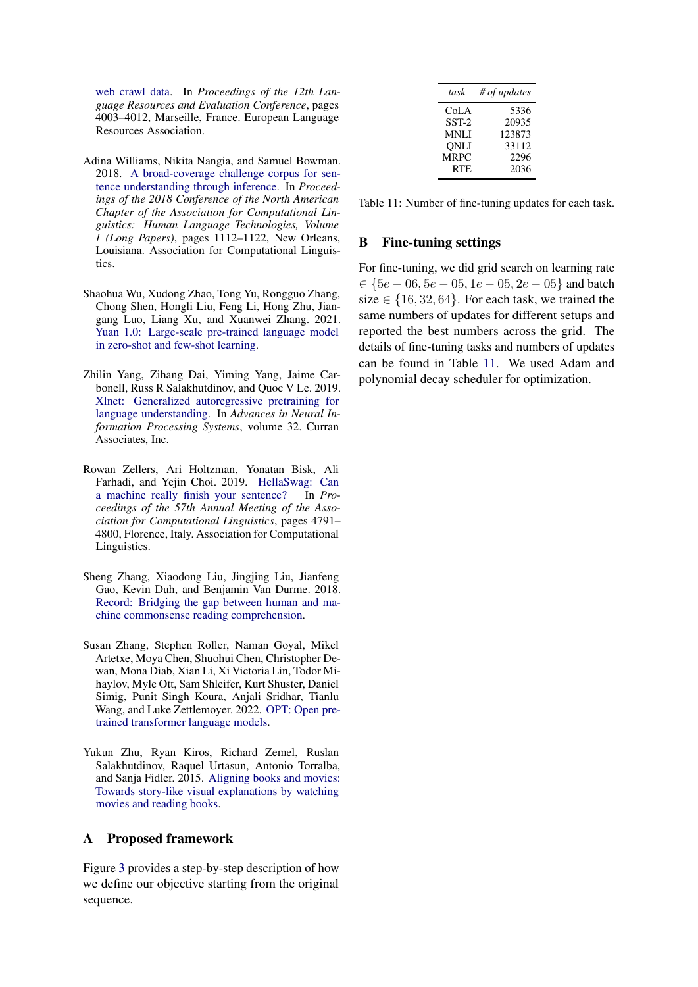[web crawl data.](https://aclanthology.org/2020.lrec-1.494) In *Proceedings of the 12th Language Resources and Evaluation Conference*, pages 4003–4012, Marseille, France. European Language Resources Association.

- <span id="page-11-5"></span>Adina Williams, Nikita Nangia, and Samuel Bowman. 2018. [A broad-coverage challenge corpus for sen](https://doi.org/10.18653/v1/N18-1101)[tence understanding through inference.](https://doi.org/10.18653/v1/N18-1101) In *Proceedings of the 2018 Conference of the North American Chapter of the Association for Computational Linguistics: Human Language Technologies, Volume 1 (Long Papers)*, pages 1112–1122, New Orleans, Louisiana. Association for Computational Linguistics.
- <span id="page-11-1"></span>Shaohua Wu, Xudong Zhao, Tong Yu, Rongguo Zhang, Chong Shen, Hongli Liu, Feng Li, Hong Zhu, Jiangang Luo, Liang Xu, and Xuanwei Zhang. 2021. [Yuan 1.0: Large-scale pre-trained language model](https://doi.org/10.48550/ARXIV.2110.04725) [in zero-shot and few-shot learning.](https://doi.org/10.48550/ARXIV.2110.04725)
- <span id="page-11-8"></span>Zhilin Yang, Zihang Dai, Yiming Yang, Jaime Carbonell, Russ R Salakhutdinov, and Quoc V Le. 2019. [Xlnet: Generalized autoregressive pretraining for](https://proceedings.neurips.cc/paper/2019/file/dc6a7e655d7e5840e66733e9ee67cc69-Paper.pdf) [language understanding.](https://proceedings.neurips.cc/paper/2019/file/dc6a7e655d7e5840e66733e9ee67cc69-Paper.pdf) In *Advances in Neural Information Processing Systems*, volume 32. Curran Associates, Inc.
- <span id="page-11-4"></span>Rowan Zellers, Ari Holtzman, Yonatan Bisk, Ali Farhadi, and Yejin Choi. 2019. [HellaSwag: Can](https://doi.org/10.18653/v1/P19-1472) [a machine really finish your sentence?](https://doi.org/10.18653/v1/P19-1472) In *Proceedings of the 57th Annual Meeting of the Association for Computational Linguistics*, pages 4791– 4800, Florence, Italy. Association for Computational Linguistics.
- <span id="page-11-3"></span>Sheng Zhang, Xiaodong Liu, Jingjing Liu, Jianfeng Gao, Kevin Duh, and Benjamin Van Durme. 2018. [Record: Bridging the gap between human and ma](https://doi.org/10.48550/ARXIV.1810.12885)[chine commonsense reading comprehension.](https://doi.org/10.48550/ARXIV.1810.12885)
- <span id="page-11-7"></span>Susan Zhang, Stephen Roller, Naman Goyal, Mikel Artetxe, Moya Chen, Shuohui Chen, Christopher Dewan, Mona Diab, Xian Li, Xi Victoria Lin, Todor Mihaylov, Myle Ott, Sam Shleifer, Kurt Shuster, Daniel Simig, Punit Singh Koura, Anjali Sridhar, Tianlu Wang, and Luke Zettlemoyer. 2022. [OPT: Open pre](https://doi.org/10.48550/ARXIV.2205.01068)[trained transformer language models.](https://doi.org/10.48550/ARXIV.2205.01068)
- <span id="page-11-2"></span>Yukun Zhu, Ryan Kiros, Richard Zemel, Ruslan Salakhutdinov, Raquel Urtasun, Antonio Torralba, and Sanja Fidler. 2015. [Aligning books and movies:](https://doi.org/10.48550/ARXIV.1506.06724) [Towards story-like visual explanations by watching](https://doi.org/10.48550/ARXIV.1506.06724) [movies and reading books.](https://doi.org/10.48550/ARXIV.1506.06724)

# <span id="page-11-0"></span>A Proposed framework

Figure [3](#page-12-0) provides a step-by-step description of how we define our objective starting from the original sequence.

<span id="page-11-9"></span>

| task        | # of updates |
|-------------|--------------|
| CoLA        | 5336         |
| $SST-2$     | 20935        |
| <b>MNLI</b> | 123873       |
| ONLI        | 33112        |
| <b>MRPC</b> | 2296         |
| <b>RTE</b>  | 2036         |

Table 11: Number of fine-tuning updates for each task.

# <span id="page-11-6"></span>B Fine-tuning settings

For fine-tuning, we did grid search on learning rate  $\in \{5e - 06, 5e - 05, 1e - 05, 2e - 05\}$  and batch size  $\in \{16, 32, 64\}$ . For each task, we trained the same numbers of updates for different setups and reported the best numbers across the grid. The details of fine-tuning tasks and numbers of updates can be found in Table [11.](#page-11-9) We used Adam and polynomial decay scheduler for optimization.